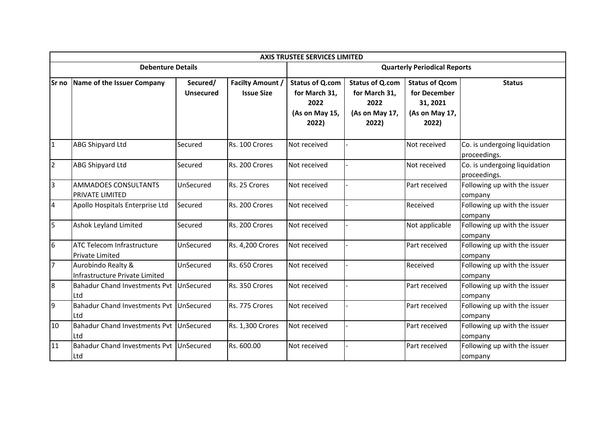|                | <b>AXIS TRUSTEE SERVICES LIMITED</b>                 |                              |                                              |                                                                            |                                                                            |                                                                              |                                               |  |  |  |  |  |
|----------------|------------------------------------------------------|------------------------------|----------------------------------------------|----------------------------------------------------------------------------|----------------------------------------------------------------------------|------------------------------------------------------------------------------|-----------------------------------------------|--|--|--|--|--|
|                | <b>Debenture Details</b>                             |                              |                                              | <b>Quarterly Periodical Reports</b>                                        |                                                                            |                                                                              |                                               |  |  |  |  |  |
| lSr no         | Name of the Issuer Company                           | Secured/<br><b>Unsecured</b> | <b>Facilty Amount /</b><br><b>Issue Size</b> | <b>Status of Q.com</b><br>for March 31,<br>2022<br>(As on May 15,<br>2022) | <b>Status of Q.com</b><br>for March 31,<br>2022<br>(As on May 17,<br>2022) | <b>Status of Qcom</b><br>for December<br>31, 2021<br>(As on May 17,<br>2022) | <b>Status</b>                                 |  |  |  |  |  |
| $\overline{1}$ | ABG Shipyard Ltd                                     | Secured                      | Rs. 100 Crores                               | Not received                                                               |                                                                            | Not received                                                                 | Co. is undergoing liquidation<br>proceedings. |  |  |  |  |  |
| $\overline{2}$ | ABG Shipyard Ltd                                     | Secured                      | Rs. 200 Crores                               | Not received                                                               |                                                                            | Not received                                                                 | Co. is undergoing liquidation<br>proceedings. |  |  |  |  |  |
| 3              | <b>AMMADOES CONSULTANTS</b><br>PRIVATE LIMITED       | UnSecured                    | Rs. 25 Crores                                | Not received                                                               |                                                                            | Part received                                                                | Following up with the issuer<br>company       |  |  |  |  |  |
| 4              | Apollo Hospitals Enterprise Ltd                      | Secured                      | Rs. 200 Crores                               | Not received                                                               |                                                                            | Received                                                                     | Following up with the issuer<br>company       |  |  |  |  |  |
| 5              | Ashok Leyland Limited                                | Secured                      | Rs. 200 Crores                               | Not received                                                               |                                                                            | Not applicable                                                               | Following up with the issuer<br>company       |  |  |  |  |  |
| 6              | ATC Telecom Infrastructure<br><b>Private Limited</b> | UnSecured                    | <b>Rs. 4,200 Crores</b>                      | Not received                                                               |                                                                            | Part received                                                                | Following up with the issuer<br>company       |  |  |  |  |  |
| $\overline{7}$ | Aurobindo Realty &<br>Infrastructure Private Limited | UnSecured                    | Rs. 650 Crores                               | Not received                                                               |                                                                            | Received                                                                     | Following up with the issuer<br>company       |  |  |  |  |  |
| 8              | Bahadur Chand Investments Pvt UnSecured<br>Ltd       |                              | Rs. 350 Crores                               | Not received                                                               |                                                                            | Part received                                                                | Following up with the issuer<br>company       |  |  |  |  |  |
| 9              | Bahadur Chand Investments Pvt UnSecured<br>Ltd       |                              | Rs. 775 Crores                               | Not received                                                               |                                                                            | Part received                                                                | Following up with the issuer<br>company       |  |  |  |  |  |
| 10             | Bahadur Chand Investments Pvt UnSecured<br>Ltd       |                              | <b>Rs. 1,300 Crores</b>                      | Not received                                                               |                                                                            | Part received                                                                | Following up with the issuer<br>company       |  |  |  |  |  |
| 11             | Bahadur Chand Investments Pvt UnSecured<br>Ltd       |                              | Rs. 600.00                                   | Not received                                                               |                                                                            | Part received                                                                | Following up with the issuer<br>company       |  |  |  |  |  |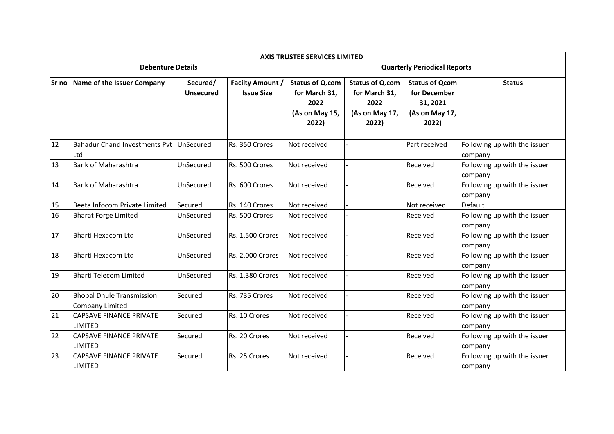|    | <b>AXIS TRUSTEE SERVICES LIMITED</b>                |                              |                                              |                                                                            |                                                                            |                                                                              |                                         |  |  |  |  |  |
|----|-----------------------------------------------------|------------------------------|----------------------------------------------|----------------------------------------------------------------------------|----------------------------------------------------------------------------|------------------------------------------------------------------------------|-----------------------------------------|--|--|--|--|--|
|    | <b>Debenture Details</b>                            |                              |                                              |                                                                            | <b>Quarterly Periodical Reports</b>                                        |                                                                              |                                         |  |  |  |  |  |
|    | Sr no Name of the Issuer Company                    | Secured/<br><b>Unsecured</b> | <b>Facilty Amount /</b><br><b>Issue Size</b> | <b>Status of Q.com</b><br>for March 31,<br>2022<br>(As on May 15,<br>2022) | <b>Status of Q.com</b><br>for March 31,<br>2022<br>(As on May 17,<br>2022) | <b>Status of Qcom</b><br>for December<br>31, 2021<br>(As on May 17,<br>2022) | <b>Status</b>                           |  |  |  |  |  |
| 12 | Bahadur Chand Investments Pvt UnSecured<br>Ltd      |                              | Rs. 350 Crores                               | Not received                                                               |                                                                            | Part received                                                                | Following up with the issuer<br>company |  |  |  |  |  |
| 13 | <b>Bank of Maharashtra</b>                          | UnSecured                    | Rs. 500 Crores                               | Not received                                                               |                                                                            | Received                                                                     | Following up with the issuer<br>company |  |  |  |  |  |
| 14 | <b>Bank of Maharashtra</b>                          | UnSecured                    | Rs. 600 Crores                               | Not received                                                               |                                                                            | Received                                                                     | Following up with the issuer<br>company |  |  |  |  |  |
| 15 | Beeta Infocom Private Limited                       | Secured                      | Rs. 140 Crores                               | Not received                                                               |                                                                            | Not received                                                                 | Default                                 |  |  |  |  |  |
| 16 | <b>Bharat Forge Limited</b>                         | UnSecured                    | Rs. 500 Crores                               | Not received                                                               |                                                                            | Received                                                                     | Following up with the issuer<br>company |  |  |  |  |  |
| 17 | <b>Bharti Hexacom Ltd</b>                           | UnSecured                    | Rs. 1,500 Crores                             | Not received                                                               |                                                                            | Received                                                                     | Following up with the issuer<br>company |  |  |  |  |  |
| 18 | <b>Bharti Hexacom Ltd</b>                           | UnSecured                    | Rs. 2,000 Crores                             | Not received                                                               |                                                                            | Received                                                                     | Following up with the issuer<br>company |  |  |  |  |  |
| 19 | <b>Bharti Telecom Limited</b>                       | UnSecured                    | Rs. 1,380 Crores                             | Not received                                                               |                                                                            | Received                                                                     | Following up with the issuer<br>company |  |  |  |  |  |
| 20 | <b>Bhopal Dhule Transmission</b><br>Company Limited | Secured                      | Rs. 735 Crores                               | Not received                                                               |                                                                            | Received                                                                     | Following up with the issuer<br>company |  |  |  |  |  |
| 21 | <b>CAPSAVE FINANCE PRIVATE</b><br>LIMITED           | Secured                      | Rs. 10 Crores                                | Not received                                                               |                                                                            | Received                                                                     | Following up with the issuer<br>company |  |  |  |  |  |
| 22 | <b>CAPSAVE FINANCE PRIVATE</b><br>LIMITED           | Secured                      | Rs. 20 Crores                                | Not received                                                               |                                                                            | Received                                                                     | Following up with the issuer<br>company |  |  |  |  |  |
| 23 | <b>CAPSAVE FINANCE PRIVATE</b><br>LIMITED           | Secured                      | Rs. 25 Crores                                | Not received                                                               |                                                                            | Received                                                                     | Following up with the issuer<br>company |  |  |  |  |  |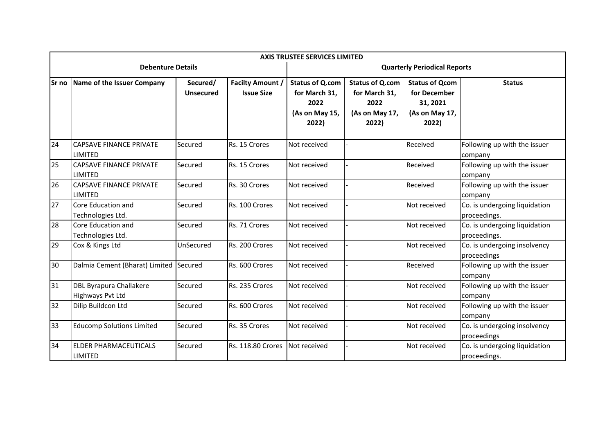|        | <b>AXIS TRUSTEE SERVICES LIMITED</b>               |                              |                                              |                                                                            |                                                                            |                                                                              |                                               |  |  |  |  |  |
|--------|----------------------------------------------------|------------------------------|----------------------------------------------|----------------------------------------------------------------------------|----------------------------------------------------------------------------|------------------------------------------------------------------------------|-----------------------------------------------|--|--|--|--|--|
|        | <b>Debenture Details</b>                           |                              |                                              | <b>Quarterly Periodical Reports</b>                                        |                                                                            |                                                                              |                                               |  |  |  |  |  |
| lSr no | Name of the Issuer Company                         | Secured/<br><b>Unsecured</b> | <b>Facilty Amount /</b><br><b>Issue Size</b> | <b>Status of Q.com</b><br>for March 31,<br>2022<br>(As on May 15,<br>2022) | <b>Status of Q.com</b><br>for March 31,<br>2022<br>(As on May 17,<br>2022) | <b>Status of Qcom</b><br>for December<br>31, 2021<br>(As on May 17,<br>2022) | <b>Status</b>                                 |  |  |  |  |  |
| 24     | <b>CAPSAVE FINANCE PRIVATE</b><br>LIMITED          | Secured                      | Rs. 15 Crores                                | Not received                                                               |                                                                            | Received                                                                     | Following up with the issuer<br>company       |  |  |  |  |  |
| 25     | <b>CAPSAVE FINANCE PRIVATE</b><br><b>LIMITED</b>   | Secured                      | Rs. 15 Crores                                | Not received                                                               |                                                                            | Received                                                                     | Following up with the issuer<br>company       |  |  |  |  |  |
| 26     | <b>CAPSAVE FINANCE PRIVATE</b><br><b>LIMITED</b>   | Secured                      | Rs. 30 Crores                                | Not received                                                               |                                                                            | Received                                                                     | Following up with the issuer<br>company       |  |  |  |  |  |
| 27     | Core Education and<br>Technologies Ltd.            | Secured                      | Rs. 100 Crores                               | Not received                                                               |                                                                            | Not received                                                                 | Co. is undergoing liquidation<br>proceedings. |  |  |  |  |  |
| 28     | Core Education and<br>Technologies Ltd.            | Secured                      | Rs. 71 Crores                                | Not received                                                               |                                                                            | Not received                                                                 | Co. is undergoing liquidation<br>proceedings. |  |  |  |  |  |
| 29     | Cox & Kings Ltd                                    | UnSecured                    | Rs. 200 Crores                               | Not received                                                               |                                                                            | Not received                                                                 | Co. is undergoing insolvency<br>proceedings   |  |  |  |  |  |
| 30     | Dalmia Cement (Bharat) Limited Secured             |                              | Rs. 600 Crores                               | Not received                                                               |                                                                            | Received                                                                     | Following up with the issuer<br>company       |  |  |  |  |  |
| 31     | <b>DBL Byrapura Challakere</b><br>Highways Pvt Ltd | Secured                      | Rs. 235 Crores                               | Not received                                                               |                                                                            | Not received                                                                 | Following up with the issuer<br>company       |  |  |  |  |  |
| 32     | Dilip Buildcon Ltd                                 | Secured                      | Rs. 600 Crores                               | Not received                                                               |                                                                            | Not received                                                                 | Following up with the issuer<br>company       |  |  |  |  |  |
| 33     | <b>Educomp Solutions Limited</b>                   | Secured                      | Rs. 35 Crores                                | Not received                                                               |                                                                            | Not received                                                                 | Co. is undergoing insolvency<br>proceedings   |  |  |  |  |  |
| 34     | <b>ELDER PHARMACEUTICALS</b><br><b>LIMITED</b>     | Secured                      | Rs. 118.80 Crores                            | Not received                                                               |                                                                            | Not received                                                                 | Co. is undergoing liquidation<br>proceedings. |  |  |  |  |  |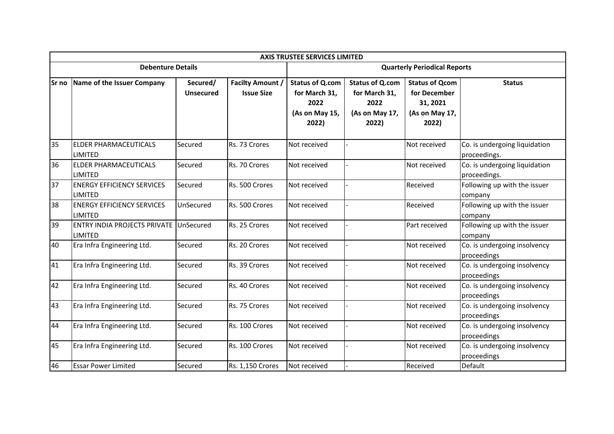|       | <b>AXIS TRUSTEE SERVICES LIMITED</b>                     |                              |                                              |                                                                            |                                                                            |                                                                              |                                               |  |  |  |  |  |
|-------|----------------------------------------------------------|------------------------------|----------------------------------------------|----------------------------------------------------------------------------|----------------------------------------------------------------------------|------------------------------------------------------------------------------|-----------------------------------------------|--|--|--|--|--|
|       | <b>Debenture Details</b>                                 |                              |                                              |                                                                            | <b>Quarterly Periodical Reports</b>                                        |                                                                              |                                               |  |  |  |  |  |
| Sr no | Name of the Issuer Company                               | Secured/<br><b>Unsecured</b> | <b>Facilty Amount /</b><br><b>Issue Size</b> | <b>Status of Q.com</b><br>for March 31,<br>2022<br>(As on May 15,<br>2022) | <b>Status of Q.com</b><br>for March 31,<br>2022<br>(As on May 17,<br>2022) | <b>Status of Qcom</b><br>for December<br>31, 2021<br>(As on May 17,<br>2022) | <b>Status</b>                                 |  |  |  |  |  |
| 35    | ELDER PHARMACEUTICALS<br>LIMITED                         | Secured                      | Rs. 73 Crores                                | Not received                                                               |                                                                            | Not received                                                                 | Co. is undergoing liquidation<br>proceedings. |  |  |  |  |  |
| 36    | ELDER PHARMACEUTICALS<br>LIMITED                         | Secured                      | Rs. 70 Crores                                | Not received                                                               |                                                                            | Not received                                                                 | Co. is undergoing liquidation<br>proceedings. |  |  |  |  |  |
| 37    | <b>ENERGY EFFICIENCY SERVICES</b><br>LIMITED             | Secured                      | Rs. 500 Crores                               | Not received                                                               |                                                                            | Received                                                                     | Following up with the issuer<br>company       |  |  |  |  |  |
| 38    | <b>ENERGY EFFICIENCY SERVICES</b><br><b>LIMITED</b>      | UnSecured                    | Rs. 500 Crores                               | Not received                                                               |                                                                            | Received                                                                     | Following up with the issuer<br>company       |  |  |  |  |  |
| 39    | <b>ENTRY INDIA PROJECTS PRIVATE UnSecured</b><br>LIMITED |                              | Rs. 25 Crores                                | Not received                                                               |                                                                            | Part received                                                                | Following up with the issuer<br>company       |  |  |  |  |  |
| 40    | Era Infra Engineering Ltd.                               | Secured                      | Rs. 20 Crores                                | Not received                                                               |                                                                            | Not received                                                                 | Co. is undergoing insolvency<br>proceedings   |  |  |  |  |  |
| 41    | Era Infra Engineering Ltd.                               | Secured                      | Rs. 39 Crores                                | Not received                                                               |                                                                            | Not received                                                                 | Co. is undergoing insolvency<br>proceedings   |  |  |  |  |  |
| 42    | Era Infra Engineering Ltd.                               | Secured                      | Rs. 40 Crores                                | Not received                                                               |                                                                            | Not received                                                                 | Co. is undergoing insolvency<br>proceedings   |  |  |  |  |  |
| 43    | Era Infra Engineering Ltd.                               | Secured                      | Rs. 75 Crores                                | Not received                                                               |                                                                            | Not received                                                                 | Co. is undergoing insolvency<br>proceedings   |  |  |  |  |  |
| 44    | Era Infra Engineering Ltd.                               | Secured                      | Rs. 100 Crores                               | Not received                                                               |                                                                            | Not received                                                                 | Co. is undergoing insolvency<br>proceedings   |  |  |  |  |  |
| 45    | Era Infra Engineering Ltd.                               | Secured                      | Rs. 100 Crores                               | Not received                                                               |                                                                            | Not received                                                                 | Co. is undergoing insolvency<br>proceedings   |  |  |  |  |  |
| 46    | <b>Essar Power Limited</b>                               | Secured                      | Rs. 1,150 Crores                             | Not received                                                               |                                                                            | Received                                                                     | Default                                       |  |  |  |  |  |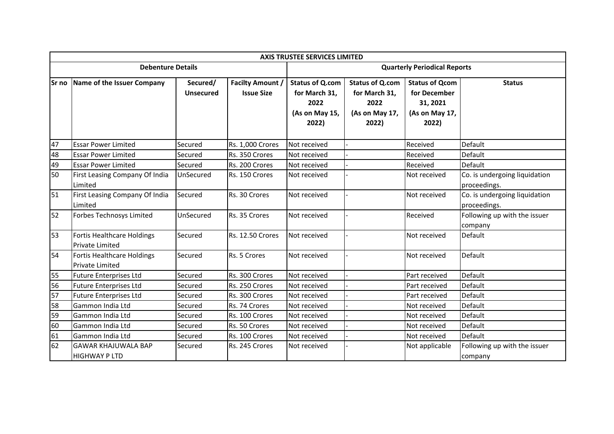|              | <b>AXIS TRUSTEE SERVICES LIMITED</b>                        |                              |                                              |                                                                            |                                                                            |                                                                              |                                               |  |  |  |  |  |
|--------------|-------------------------------------------------------------|------------------------------|----------------------------------------------|----------------------------------------------------------------------------|----------------------------------------------------------------------------|------------------------------------------------------------------------------|-----------------------------------------------|--|--|--|--|--|
|              | <b>Debenture Details</b>                                    |                              |                                              | <b>Quarterly Periodical Reports</b>                                        |                                                                            |                                                                              |                                               |  |  |  |  |  |
| <b>Sr</b> no | Name of the Issuer Company                                  | Secured/<br><b>Unsecured</b> | <b>Facilty Amount /</b><br><b>Issue Size</b> | <b>Status of Q.com</b><br>for March 31,<br>2022<br>(As on May 15,<br>2022) | <b>Status of Q.com</b><br>for March 31,<br>2022<br>(As on May 17,<br>2022) | <b>Status of Qcom</b><br>for December<br>31, 2021<br>(As on May 17,<br>2022) | <b>Status</b>                                 |  |  |  |  |  |
| 47           | <b>Essar Power Limited</b>                                  | Secured                      | <b>Rs. 1,000 Crores</b>                      | Not received                                                               |                                                                            | Received                                                                     | Default                                       |  |  |  |  |  |
| 48           | <b>Essar Power Limited</b>                                  | Secured                      | Rs. 350 Crores                               | Not received                                                               |                                                                            | Received                                                                     | Default                                       |  |  |  |  |  |
| 49           | <b>Essar Power Limited</b>                                  | Secured                      | Rs. 200 Crores                               | Not received                                                               |                                                                            | Received                                                                     | Default                                       |  |  |  |  |  |
| 50           | First Leasing Company Of India<br>Limited                   | UnSecured                    | Rs. 150 Crores                               | Not received                                                               |                                                                            | Not received                                                                 | Co. is undergoing liquidation<br>proceedings. |  |  |  |  |  |
| 51           | First Leasing Company Of India<br>Limited                   | Secured                      | Rs. 30 Crores                                | Not received                                                               |                                                                            | Not received                                                                 | Co. is undergoing liquidation<br>proceedings. |  |  |  |  |  |
| 52           | Forbes Technosys Limited                                    | UnSecured                    | Rs. 35 Crores                                | Not received                                                               |                                                                            | Received                                                                     | Following up with the issuer<br>company       |  |  |  |  |  |
| 53           | <b>Fortis Healthcare Holdings</b><br><b>Private Limited</b> | Secured                      | Rs. 12.50 Crores                             | Not received                                                               |                                                                            | Not received                                                                 | Default                                       |  |  |  |  |  |
| 54           | Fortis Healthcare Holdings<br>Private Limited               | Secured                      | Rs. 5 Crores                                 | Not received                                                               |                                                                            | Not received                                                                 | Default                                       |  |  |  |  |  |
| 55           | <b>Future Enterprises Ltd</b>                               | Secured                      | Rs. 300 Crores                               | Not received                                                               |                                                                            | Part received                                                                | Default                                       |  |  |  |  |  |
| 56           | <b>Future Enterprises Ltd</b>                               | Secured                      | Rs. 250 Crores                               | Not received                                                               |                                                                            | Part received                                                                | Default                                       |  |  |  |  |  |
| 57           | <b>Future Enterprises Ltd</b>                               | Secured                      | Rs. 300 Crores                               | Not received                                                               |                                                                            | Part received                                                                | Default                                       |  |  |  |  |  |
| 58           | Gammon India Ltd                                            | Secured                      | Rs. 74 Crores                                | Not received                                                               |                                                                            | Not received                                                                 | Default                                       |  |  |  |  |  |
| 59           | Gammon India Ltd                                            | Secured                      | Rs. 100 Crores                               | Not received                                                               |                                                                            | Not received                                                                 | Default                                       |  |  |  |  |  |
| 60           | Gammon India Ltd                                            | Secured                      | Rs. 50 Crores                                | Not received                                                               |                                                                            | Not received                                                                 | Default                                       |  |  |  |  |  |
| 61           | Gammon India Ltd                                            | Secured                      | Rs. 100 Crores                               | Not received                                                               |                                                                            | Not received                                                                 | Default                                       |  |  |  |  |  |
| 62           | <b>GAWAR KHAJUWALA BAP</b><br>HIGHWAY P LTD                 | Secured                      | Rs. 245 Crores                               | Not received                                                               |                                                                            | Not applicable                                                               | Following up with the issuer<br>company       |  |  |  |  |  |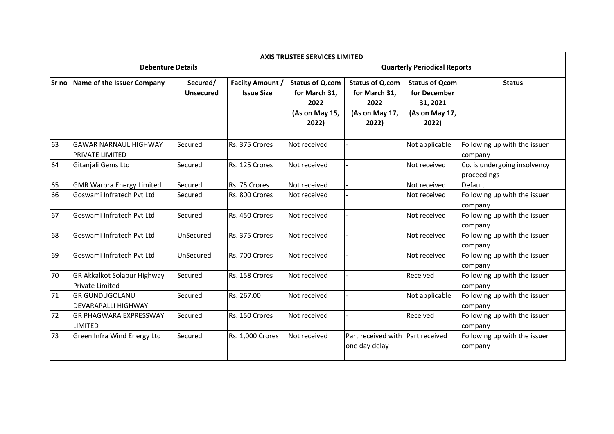|        | <b>AXIS TRUSTEE SERVICES LIMITED</b>                         |                              |                                              |                                                                            |                                                                            |                                                                              |                                             |  |  |  |  |  |
|--------|--------------------------------------------------------------|------------------------------|----------------------------------------------|----------------------------------------------------------------------------|----------------------------------------------------------------------------|------------------------------------------------------------------------------|---------------------------------------------|--|--|--|--|--|
|        | <b>Debenture Details</b>                                     |                              |                                              | <b>Quarterly Periodical Reports</b>                                        |                                                                            |                                                                              |                                             |  |  |  |  |  |
| lSr no | Name of the Issuer Company                                   | Secured/<br><b>Unsecured</b> | <b>Facilty Amount /</b><br><b>Issue Size</b> | <b>Status of Q.com</b><br>for March 31,<br>2022<br>(As on May 15,<br>2022) | <b>Status of Q.com</b><br>for March 31,<br>2022<br>(As on May 17,<br>2022) | <b>Status of Qcom</b><br>for December<br>31, 2021<br>(As on May 17,<br>2022) | <b>Status</b>                               |  |  |  |  |  |
| 63     | <b>GAWAR NARNAUL HIGHWAY</b><br>PRIVATE LIMITED              | Secured                      | Rs. 375 Crores                               | Not received                                                               |                                                                            | Not applicable                                                               | Following up with the issuer<br>company     |  |  |  |  |  |
| 64     | Gitanjali Gems Ltd                                           | Secured                      | Rs. 125 Crores                               | Not received                                                               |                                                                            | Not received                                                                 | Co. is undergoing insolvency<br>proceedings |  |  |  |  |  |
| 65     | <b>GMR Warora Energy Limited</b>                             | Secured                      | Rs. 75 Crores                                | Not received                                                               |                                                                            | Not received                                                                 | Default                                     |  |  |  |  |  |
| 66     | Goswami Infratech Pvt Ltd                                    | Secured                      | Rs. 800 Crores                               | Not received                                                               |                                                                            | Not received                                                                 | Following up with the issuer<br>company     |  |  |  |  |  |
| 67     | Goswami Infratech Pvt Ltd                                    | Secured                      | Rs. 450 Crores                               | Not received                                                               |                                                                            | Not received                                                                 | Following up with the issuer<br>company     |  |  |  |  |  |
| 68     | Goswami Infratech Pvt Ltd                                    | UnSecured                    | Rs. 375 Crores                               | Not received                                                               |                                                                            | Not received                                                                 | Following up with the issuer<br>company     |  |  |  |  |  |
| 69     | Goswami Infratech Pvt Ltd                                    | UnSecured                    | Rs. 700 Crores                               | Not received                                                               |                                                                            | Not received                                                                 | Following up with the issuer<br>company     |  |  |  |  |  |
| 70     | <b>GR Akkalkot Solapur Highway</b><br><b>Private Limited</b> | Secured                      | Rs. 158 Crores                               | Not received                                                               |                                                                            | Received                                                                     | Following up with the issuer<br>company     |  |  |  |  |  |
| 71     | <b>GR GUNDUGOLANU</b><br><b>DEVARAPALLI HIGHWAY</b>          | Secured                      | Rs. 267.00                                   | Not received                                                               |                                                                            | Not applicable                                                               | Following up with the issuer<br>company     |  |  |  |  |  |
| 72     | IGR PHAGWARA EXPRESSWAY<br><b>LIMITED</b>                    | Secured                      | Rs. 150 Crores                               | Not received                                                               |                                                                            | Received                                                                     | Following up with the issuer<br>company     |  |  |  |  |  |
| 73     | Green Infra Wind Energy Ltd                                  | Secured                      | Rs. 1,000 Crores                             | Not received                                                               | Part received with Part received<br>one day delay                          |                                                                              | Following up with the issuer<br>company     |  |  |  |  |  |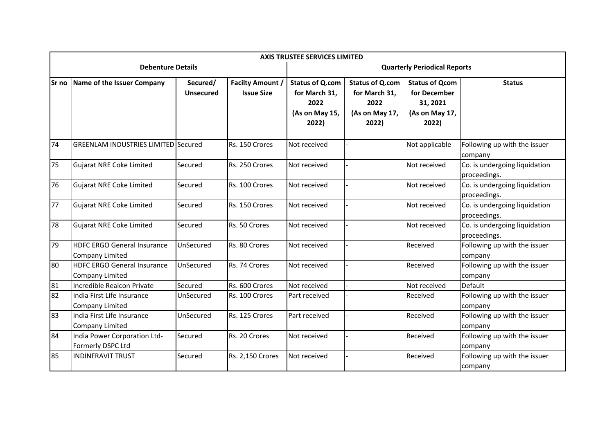|    | <b>AXIS TRUSTEE SERVICES LIMITED</b>                         |                              |                                              |                                                                            |                                                                            |                                                                              |                                               |  |  |  |  |  |
|----|--------------------------------------------------------------|------------------------------|----------------------------------------------|----------------------------------------------------------------------------|----------------------------------------------------------------------------|------------------------------------------------------------------------------|-----------------------------------------------|--|--|--|--|--|
|    | <b>Debenture Details</b>                                     |                              |                                              | <b>Quarterly Periodical Reports</b>                                        |                                                                            |                                                                              |                                               |  |  |  |  |  |
|    | Sr no Name of the Issuer Company                             | Secured/<br><b>Unsecured</b> | <b>Facilty Amount /</b><br><b>Issue Size</b> | <b>Status of Q.com</b><br>for March 31,<br>2022<br>(As on May 15,<br>2022) | <b>Status of Q.com</b><br>for March 31,<br>2022<br>(As on May 17,<br>2022) | <b>Status of Qcom</b><br>for December<br>31, 2021<br>(As on May 17,<br>2022) | <b>Status</b>                                 |  |  |  |  |  |
| 74 | <b>GREENLAM INDUSTRIES LIMITED Secured</b>                   |                              | Rs. 150 Crores                               | Not received                                                               |                                                                            | Not applicable                                                               | Following up with the issuer<br>company       |  |  |  |  |  |
| 75 | <b>Gujarat NRE Coke Limited</b>                              | Secured                      | Rs. 250 Crores                               | Not received                                                               |                                                                            | Not received                                                                 | Co. is undergoing liquidation<br>proceedings. |  |  |  |  |  |
| 76 | Gujarat NRE Coke Limited                                     | Secured                      | Rs. 100 Crores                               | Not received                                                               |                                                                            | Not received                                                                 | Co. is undergoing liquidation<br>proceedings. |  |  |  |  |  |
| 77 | Gujarat NRE Coke Limited                                     | Secured                      | Rs. 150 Crores                               | Not received                                                               |                                                                            | Not received                                                                 | Co. is undergoing liquidation<br>proceedings. |  |  |  |  |  |
| 78 | <b>Gujarat NRE Coke Limited</b>                              | Secured                      | Rs. 50 Crores                                | Not received                                                               |                                                                            | Not received                                                                 | Co. is undergoing liquidation<br>proceedings. |  |  |  |  |  |
| 79 | <b>HDFC ERGO General Insurance</b><br><b>Company Limited</b> | UnSecured                    | Rs. 80 Crores                                | Not received                                                               |                                                                            | Received                                                                     | Following up with the issuer<br>company       |  |  |  |  |  |
| 80 | <b>HDFC ERGO General Insurance</b><br><b>Company Limited</b> | UnSecured                    | Rs. 74 Crores                                | Not received                                                               |                                                                            | Received                                                                     | Following up with the issuer<br>company       |  |  |  |  |  |
| 81 | Incredible Realcon Private                                   | Secured                      | Rs. 600 Crores                               | Not received                                                               |                                                                            | Not received                                                                 | Default                                       |  |  |  |  |  |
| 82 | India First Life Insurance<br><b>Company Limited</b>         | UnSecured                    | Rs. 100 Crores                               | Part received                                                              |                                                                            | Received                                                                     | Following up with the issuer<br>company       |  |  |  |  |  |
| 83 | India First Life Insurance<br><b>Company Limited</b>         | UnSecured                    | Rs. 125 Crores                               | Part received                                                              |                                                                            | Received                                                                     | Following up with the issuer<br>company       |  |  |  |  |  |
| 84 | India Power Corporation Ltd-<br>Formerly DSPC Ltd            | Secured                      | Rs. 20 Crores                                | Not received                                                               |                                                                            | Received                                                                     | Following up with the issuer<br>company       |  |  |  |  |  |
| 85 | <b>INDINFRAVIT TRUST</b>                                     | Secured                      | Rs. 2,150 Crores                             | Not received                                                               |                                                                            | Received                                                                     | Following up with the issuer<br>company       |  |  |  |  |  |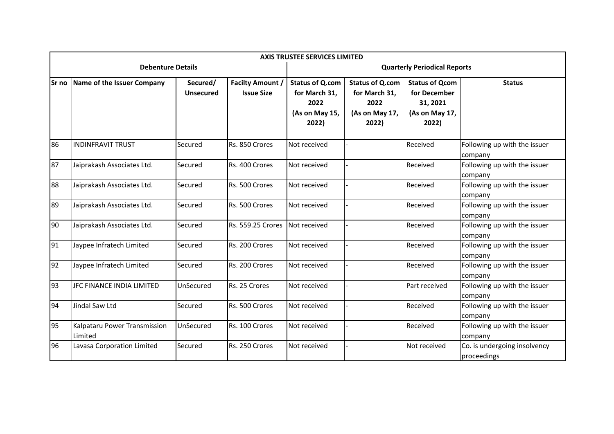|        | <b>AXIS TRUSTEE SERVICES LIMITED</b>    |                              |                                              |                                                                            |                                                                            |                                                                              |                                             |  |  |  |  |  |
|--------|-----------------------------------------|------------------------------|----------------------------------------------|----------------------------------------------------------------------------|----------------------------------------------------------------------------|------------------------------------------------------------------------------|---------------------------------------------|--|--|--|--|--|
|        | <b>Debenture Details</b>                |                              |                                              |                                                                            | <b>Quarterly Periodical Reports</b>                                        |                                                                              |                                             |  |  |  |  |  |
| lSr no | Name of the Issuer Company              | Secured/<br><b>Unsecured</b> | <b>Facilty Amount /</b><br><b>Issue Size</b> | <b>Status of Q.com</b><br>for March 31,<br>2022<br>(As on May 15,<br>2022) | <b>Status of Q.com</b><br>for March 31,<br>2022<br>(As on May 17,<br>2022) | <b>Status of Qcom</b><br>for December<br>31, 2021<br>(As on May 17,<br>2022) | <b>Status</b>                               |  |  |  |  |  |
| 86     | <b>INDINFRAVIT TRUST</b>                | Secured                      | Rs. 850 Crores                               | Not received                                                               |                                                                            | Received                                                                     | Following up with the issuer<br>company     |  |  |  |  |  |
| 87     | Jaiprakash Associates Ltd.              | Secured                      | Rs. 400 Crores                               | Not received                                                               |                                                                            | Received                                                                     | Following up with the issuer<br>company     |  |  |  |  |  |
| 88     | Jaiprakash Associates Ltd.              | Secured                      | Rs. 500 Crores                               | Not received                                                               |                                                                            | Received                                                                     | Following up with the issuer<br>company     |  |  |  |  |  |
| 89     | Jaiprakash Associates Ltd.              | Secured                      | Rs. 500 Crores                               | Not received                                                               |                                                                            | Received                                                                     | Following up with the issuer<br>company     |  |  |  |  |  |
| 90     | Jaiprakash Associates Ltd.              | Secured                      | Rs. 559.25 Crores                            | Not received                                                               |                                                                            | Received                                                                     | Following up with the issuer<br>company     |  |  |  |  |  |
| 91     | Jaypee Infratech Limited                | Secured                      | Rs. 200 Crores                               | Not received                                                               |                                                                            | Received                                                                     | Following up with the issuer<br>company     |  |  |  |  |  |
| 92     | Jaypee Infratech Limited                | Secured                      | Rs. 200 Crores                               | Not received                                                               |                                                                            | Received                                                                     | Following up with the issuer<br>company     |  |  |  |  |  |
| 93     | JFC FINANCE INDIA LIMITED               | UnSecured                    | Rs. 25 Crores                                | Not received                                                               |                                                                            | Part received                                                                | Following up with the issuer<br>company     |  |  |  |  |  |
| 94     | Jindal Saw Ltd                          | Secured                      | Rs. 500 Crores                               | Not received                                                               |                                                                            | Received                                                                     | Following up with the issuer<br>company     |  |  |  |  |  |
| 95     | Kalpataru Power Transmission<br>Limited | UnSecured                    | Rs. 100 Crores                               | Not received                                                               |                                                                            | Received                                                                     | Following up with the issuer<br>company     |  |  |  |  |  |
| 96     | Lavasa Corporation Limited              | Secured                      | Rs. 250 Crores                               | Not received                                                               |                                                                            | Not received                                                                 | Co. is undergoing insolvency<br>proceedings |  |  |  |  |  |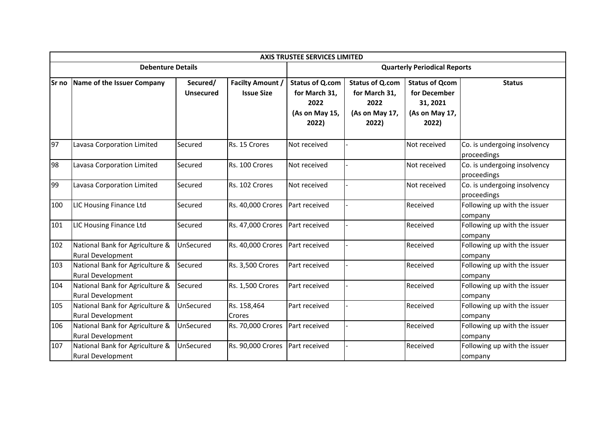|        | <b>AXIS TRUSTEE SERVICES LIMITED</b>                        |                              |                                              |                                                                            |                                                                            |                                                                              |                                             |  |  |  |  |  |
|--------|-------------------------------------------------------------|------------------------------|----------------------------------------------|----------------------------------------------------------------------------|----------------------------------------------------------------------------|------------------------------------------------------------------------------|---------------------------------------------|--|--|--|--|--|
|        | <b>Debenture Details</b>                                    |                              |                                              |                                                                            | <b>Quarterly Periodical Reports</b>                                        |                                                                              |                                             |  |  |  |  |  |
| lSr no | Name of the Issuer Company                                  | Secured/<br><b>Unsecured</b> | <b>Facilty Amount /</b><br><b>Issue Size</b> | <b>Status of Q.com</b><br>for March 31,<br>2022<br>(As on May 15,<br>2022) | <b>Status of Q.com</b><br>for March 31,<br>2022<br>(As on May 17,<br>2022) | <b>Status of Qcom</b><br>for December<br>31, 2021<br>(As on May 17,<br>2022) | <b>Status</b>                               |  |  |  |  |  |
| 97     | Lavasa Corporation Limited                                  | Secured                      | Rs. 15 Crores                                | Not received                                                               |                                                                            | Not received                                                                 | Co. is undergoing insolvency<br>proceedings |  |  |  |  |  |
| 98     | Lavasa Corporation Limited                                  | Secured                      | Rs. 100 Crores                               | Not received                                                               |                                                                            | Not received                                                                 | Co. is undergoing insolvency<br>proceedings |  |  |  |  |  |
| 99     | Lavasa Corporation Limited                                  | Secured                      | Rs. 102 Crores                               | Not received                                                               |                                                                            | Not received                                                                 | Co. is undergoing insolvency<br>proceedings |  |  |  |  |  |
| 100    | LIC Housing Finance Ltd                                     | Secured                      | Rs. 40,000 Crores                            | Part received                                                              |                                                                            | Received                                                                     | Following up with the issuer<br>company     |  |  |  |  |  |
| 101    | LIC Housing Finance Ltd                                     | Secured                      | Rs. 47,000 Crores                            | Part received                                                              |                                                                            | Received                                                                     | Following up with the issuer<br>company     |  |  |  |  |  |
| 102    | National Bank for Agriculture &<br>Rural Development        | UnSecured                    | Rs. 40,000 Crores                            | Part received                                                              |                                                                            | Received                                                                     | Following up with the issuer<br>company     |  |  |  |  |  |
| 103    | National Bank for Agriculture &<br>Rural Development        | Secured                      | Rs. 3,500 Crores                             | Part received                                                              |                                                                            | Received                                                                     | Following up with the issuer<br>company     |  |  |  |  |  |
| 104    | National Bank for Agriculture &<br>Rural Development        | Secured                      | Rs. 1,500 Crores                             | Part received                                                              |                                                                            | Received                                                                     | Following up with the issuer<br>company     |  |  |  |  |  |
| 105    | National Bank for Agriculture &<br><b>Rural Development</b> | UnSecured                    | Rs. 158,464<br>Crores                        | Part received                                                              |                                                                            | Received                                                                     | Following up with the issuer<br>company     |  |  |  |  |  |
| 106    | National Bank for Agriculture &<br>Rural Development        | UnSecured                    | Rs. 70,000 Crores                            | Part received                                                              |                                                                            | Received                                                                     | Following up with the issuer<br>company     |  |  |  |  |  |
| 107    | National Bank for Agriculture &<br><b>Rural Development</b> | UnSecured                    | <b>Rs. 90,000 Crores</b>                     | Part received                                                              |                                                                            | Received                                                                     | Following up with the issuer<br>company     |  |  |  |  |  |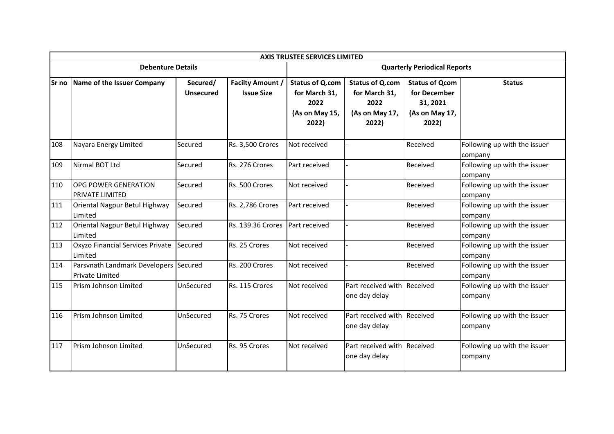|        | <b>AXIS TRUSTEE SERVICES LIMITED</b>                            |                              |                                              |                                                                            |                                                                            |                                                                              |                                         |  |  |  |  |  |
|--------|-----------------------------------------------------------------|------------------------------|----------------------------------------------|----------------------------------------------------------------------------|----------------------------------------------------------------------------|------------------------------------------------------------------------------|-----------------------------------------|--|--|--|--|--|
|        | <b>Debenture Details</b>                                        |                              |                                              |                                                                            | <b>Quarterly Periodical Reports</b>                                        |                                                                              |                                         |  |  |  |  |  |
| lSr no | Name of the Issuer Company                                      | Secured/<br><b>Unsecured</b> | <b>Facilty Amount /</b><br><b>Issue Size</b> | <b>Status of Q.com</b><br>for March 31,<br>2022<br>(As on May 15,<br>2022) | <b>Status of Q.com</b><br>for March 31,<br>2022<br>(As on May 17,<br>2022) | <b>Status of Qcom</b><br>for December<br>31, 2021<br>(As on May 17,<br>2022) | <b>Status</b>                           |  |  |  |  |  |
| 108    | Nayara Energy Limited                                           | Secured                      | Rs. 3,500 Crores                             | Not received                                                               |                                                                            | Received                                                                     | Following up with the issuer<br>company |  |  |  |  |  |
| 109    | Nirmal BOT Ltd                                                  | Secured                      | Rs. 276 Crores                               | Part received                                                              |                                                                            | Received                                                                     | Following up with the issuer<br>company |  |  |  |  |  |
| 110    | <b>OPG POWER GENERATION</b><br><b>PRIVATE LIMITED</b>           | Secured                      | Rs. 500 Crores                               | Not received                                                               |                                                                            | Received                                                                     | Following up with the issuer<br>company |  |  |  |  |  |
| 111    | Oriental Nagpur Betul Highway<br>Limited                        | Secured                      | Rs. 2,786 Crores                             | Part received                                                              |                                                                            | Received                                                                     | Following up with the issuer<br>company |  |  |  |  |  |
| 112    | Oriental Nagpur Betul Highway<br>Limited                        | Secured                      | Rs. 139.36 Crores                            | Part received                                                              |                                                                            | Received                                                                     | Following up with the issuer<br>company |  |  |  |  |  |
| 113    | Oxyzo Financial Services Private<br>Limited                     | Secured                      | Rs. 25 Crores                                | Not received                                                               |                                                                            | Received                                                                     | Following up with the issuer<br>company |  |  |  |  |  |
| 114    | Parsvnath Landmark Developers Secured<br><b>Private Limited</b> |                              | Rs. 200 Crores                               | Not received                                                               |                                                                            | Received                                                                     | Following up with the issuer<br>company |  |  |  |  |  |
| 115    | Prism Johnson Limited                                           | UnSecured                    | Rs. 115 Crores                               | Not received                                                               | Part received with Received<br>one day delay                               |                                                                              | Following up with the issuer<br>company |  |  |  |  |  |
| 116    | Prism Johnson Limited                                           | UnSecured                    | Rs. 75 Crores                                | Not received                                                               | Part received with Received<br>one day delay                               |                                                                              | Following up with the issuer<br>company |  |  |  |  |  |
| 117    | Prism Johnson Limited                                           | UnSecured                    | Rs. 95 Crores                                | Not received                                                               | Part received with Received<br>one day delay                               |                                                                              | Following up with the issuer<br>company |  |  |  |  |  |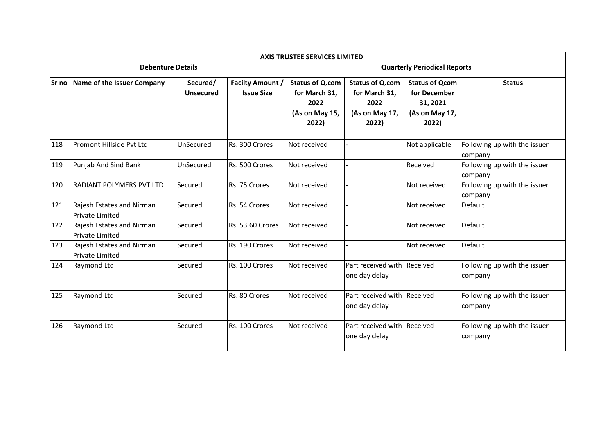|              | <b>AXIS TRUSTEE SERVICES LIMITED</b>                |                              |                                              |                                                                            |                                                                            |                                                                              |                                         |  |  |  |  |  |
|--------------|-----------------------------------------------------|------------------------------|----------------------------------------------|----------------------------------------------------------------------------|----------------------------------------------------------------------------|------------------------------------------------------------------------------|-----------------------------------------|--|--|--|--|--|
|              | <b>Debenture Details</b>                            |                              |                                              | <b>Quarterly Periodical Reports</b>                                        |                                                                            |                                                                              |                                         |  |  |  |  |  |
| <b>Sr</b> no | Name of the Issuer Company                          | Secured/<br><b>Unsecured</b> | <b>Facilty Amount /</b><br><b>Issue Size</b> | <b>Status of Q.com</b><br>for March 31,<br>2022<br>(As on May 15,<br>2022) | <b>Status of Q.com</b><br>for March 31,<br>2022<br>(As on May 17,<br>2022) | <b>Status of Qcom</b><br>for December<br>31, 2021<br>(As on May 17,<br>2022) | <b>Status</b>                           |  |  |  |  |  |
| 118          | Promont Hillside Pyt Ltd                            | UnSecured                    | Rs. 300 Crores                               | Not received                                                               |                                                                            | Not applicable                                                               | Following up with the issuer<br>company |  |  |  |  |  |
| 119          | Punjab And Sind Bank                                | UnSecured                    | Rs. 500 Crores                               | Not received                                                               |                                                                            | Received                                                                     | Following up with the issuer<br>company |  |  |  |  |  |
| 120          | <b>RADIANT POLYMERS PVT LTD</b>                     | Secured                      | Rs. 75 Crores                                | Not received                                                               |                                                                            | Not received                                                                 | Following up with the issuer<br>company |  |  |  |  |  |
| 121          | Rajesh Estates and Nirman<br><b>Private Limited</b> | Secured                      | Rs. 54 Crores                                | Not received                                                               |                                                                            | Not received                                                                 | Default                                 |  |  |  |  |  |
| 122          | Rajesh Estates and Nirman<br><b>Private Limited</b> | Secured                      | Rs. 53.60 Crores                             | Not received                                                               |                                                                            | Not received                                                                 | Default                                 |  |  |  |  |  |
| 123          | Rajesh Estates and Nirman<br><b>Private Limited</b> | Secured                      | Rs. 190 Crores                               | Not received                                                               |                                                                            | Not received                                                                 | Default                                 |  |  |  |  |  |
| 124          | Raymond Ltd                                         | Secured                      | Rs. 100 Crores                               | Not received                                                               | Part received with Received<br>one day delay                               |                                                                              | Following up with the issuer<br>company |  |  |  |  |  |
| 125          | Raymond Ltd                                         | Secured                      | Rs. 80 Crores                                | Not received                                                               | Part received with Received<br>one day delay                               |                                                                              | Following up with the issuer<br>company |  |  |  |  |  |
| 126          | <b>Raymond Ltd</b>                                  | Secured                      | Rs. 100 Crores                               | Not received                                                               | Part received with Received<br>one day delay                               |                                                                              | Following up with the issuer<br>company |  |  |  |  |  |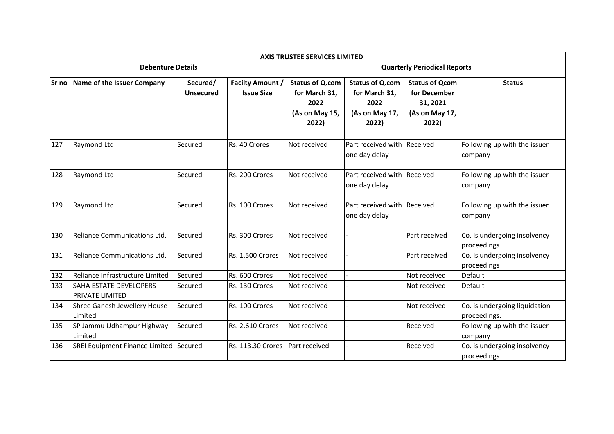|        |                                                         |                              |                                              | <b>AXIS TRUSTEE SERVICES LIMITED</b>                                       |                                                                            |                                                                              |                                               |
|--------|---------------------------------------------------------|------------------------------|----------------------------------------------|----------------------------------------------------------------------------|----------------------------------------------------------------------------|------------------------------------------------------------------------------|-----------------------------------------------|
|        | <b>Debenture Details</b>                                |                              |                                              | <b>Quarterly Periodical Reports</b>                                        |                                                                            |                                                                              |                                               |
| lSr no | Name of the Issuer Company                              | Secured/<br><b>Unsecured</b> | <b>Facilty Amount /</b><br><b>Issue Size</b> | <b>Status of Q.com</b><br>for March 31,<br>2022<br>(As on May 15,<br>2022) | <b>Status of Q.com</b><br>for March 31,<br>2022<br>(As on May 17,<br>2022) | <b>Status of Qcom</b><br>for December<br>31, 2021<br>(As on May 17,<br>2022) | <b>Status</b>                                 |
| 127    | Raymond Ltd                                             | Secured                      | Rs. 40 Crores                                | Not received                                                               | Part received with Received<br>one day delay                               |                                                                              | Following up with the issuer<br>company       |
| 128    | Raymond Ltd                                             | Secured                      | Rs. 200 Crores                               | Not received                                                               | Part received with Received<br>one day delay                               |                                                                              | Following up with the issuer<br>company       |
| 129    | Raymond Ltd                                             | Secured                      | Rs. 100 Crores                               | Not received                                                               | Part received with Received<br>one day delay                               |                                                                              | Following up with the issuer<br>company       |
| 130    | Reliance Communications Ltd.                            | Secured                      | Rs. 300 Crores                               | Not received                                                               |                                                                            | Part received                                                                | Co. is undergoing insolvency<br>proceedings   |
| 131    | Reliance Communications Ltd.                            | Secured                      | Rs. 1,500 Crores                             | Not received                                                               |                                                                            | Part received                                                                | Co. is undergoing insolvency<br>proceedings   |
| 132    | Reliance Infrastructure Limited                         | Secured                      | Rs. 600 Crores                               | Not received                                                               |                                                                            | Not received                                                                 | Default                                       |
| 133    | <b>SAHA ESTATE DEVELOPERS</b><br><b>PRIVATE LIMITED</b> | Secured                      | Rs. 130 Crores                               | Not received                                                               |                                                                            | Not received                                                                 | Default                                       |
| 134    | Shree Ganesh Jewellery House<br>Limited                 | Secured                      | Rs. 100 Crores                               | Not received                                                               |                                                                            | Not received                                                                 | Co. is undergoing liquidation<br>proceedings. |
| 135    | SP Jammu Udhampur Highway<br>Limited                    | Secured                      | Rs. 2,610 Crores                             | Not received                                                               |                                                                            | Received                                                                     | Following up with the issuer<br>company       |
| 136    | SREI Equipment Finance Limited Secured                  |                              | Rs. 113.30 Crores                            | Part received                                                              |                                                                            | Received                                                                     | Co. is undergoing insolvency<br>proceedings   |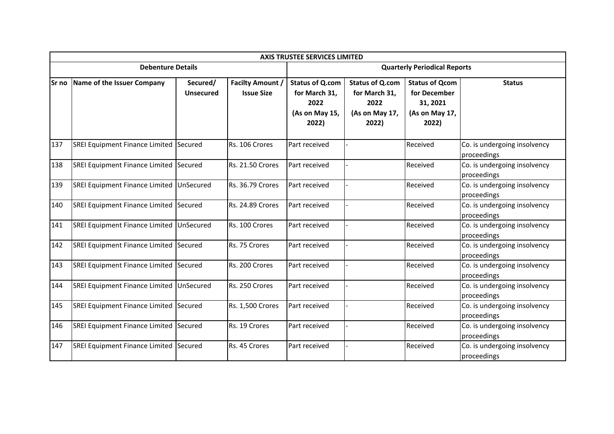|        | <b>AXIS TRUSTEE SERVICES LIMITED</b>     |                              |                                              |                                                                            |                                                                            |                                                                              |                                             |  |  |
|--------|------------------------------------------|------------------------------|----------------------------------------------|----------------------------------------------------------------------------|----------------------------------------------------------------------------|------------------------------------------------------------------------------|---------------------------------------------|--|--|
|        | <b>Debenture Details</b>                 |                              |                                              | <b>Quarterly Periodical Reports</b>                                        |                                                                            |                                                                              |                                             |  |  |
| lSr no | Name of the Issuer Company               | Secured/<br><b>Unsecured</b> | <b>Facilty Amount /</b><br><b>Issue Size</b> | <b>Status of Q.com</b><br>for March 31,<br>2022<br>(As on May 15,<br>2022) | <b>Status of Q.com</b><br>for March 31,<br>2022<br>(As on May 17,<br>2022) | <b>Status of Qcom</b><br>for December<br>31, 2021<br>(As on May 17,<br>2022) | <b>Status</b>                               |  |  |
| 137    | SREI Equipment Finance Limited Secured   |                              | Rs. 106 Crores                               | Part received                                                              |                                                                            | Received                                                                     | Co. is undergoing insolvency<br>proceedings |  |  |
| 138    | SREI Equipment Finance Limited Secured   |                              | <b>Rs. 21.50 Crores</b>                      | Part received                                                              |                                                                            | Received                                                                     | Co. is undergoing insolvency<br>proceedings |  |  |
| 139    | <b>SREI Equipment Finance Limited</b>    | <b>UnSecured</b>             | Rs. 36.79 Crores                             | Part received                                                              |                                                                            | Received                                                                     | Co. is undergoing insolvency<br>proceedings |  |  |
| 140    | SREI Equipment Finance Limited Secured   |                              | Rs. 24.89 Crores                             | Part received                                                              |                                                                            | Received                                                                     | Co. is undergoing insolvency<br>proceedings |  |  |
| 141    | SREI Equipment Finance Limited UnSecured |                              | Rs. 100 Crores                               | Part received                                                              |                                                                            | Received                                                                     | Co. is undergoing insolvency<br>proceedings |  |  |
| 142    | SREI Equipment Finance Limited Secured   |                              | Rs. 75 Crores                                | Part received                                                              |                                                                            | Received                                                                     | Co. is undergoing insolvency<br>proceedings |  |  |
| 143    | SREI Equipment Finance Limited Secured   |                              | Rs. 200 Crores                               | Part received                                                              |                                                                            | Received                                                                     | Co. is undergoing insolvency<br>proceedings |  |  |
| 144    | SREI Equipment Finance Limited UnSecured |                              | Rs. 250 Crores                               | Part received                                                              |                                                                            | Received                                                                     | Co. is undergoing insolvency<br>proceedings |  |  |
| 145    | SREI Equipment Finance Limited Secured   |                              | Rs. 1,500 Crores                             | Part received                                                              |                                                                            | Received                                                                     | Co. is undergoing insolvency<br>proceedings |  |  |
| 146    | SREI Equipment Finance Limited Secured   |                              | Rs. 19 Crores                                | Part received                                                              |                                                                            | Received                                                                     | Co. is undergoing insolvency<br>proceedings |  |  |
| 147    | SREI Equipment Finance Limited Secured   |                              | Rs. 45 Crores                                | Part received                                                              |                                                                            | Received                                                                     | Co. is undergoing insolvency<br>proceedings |  |  |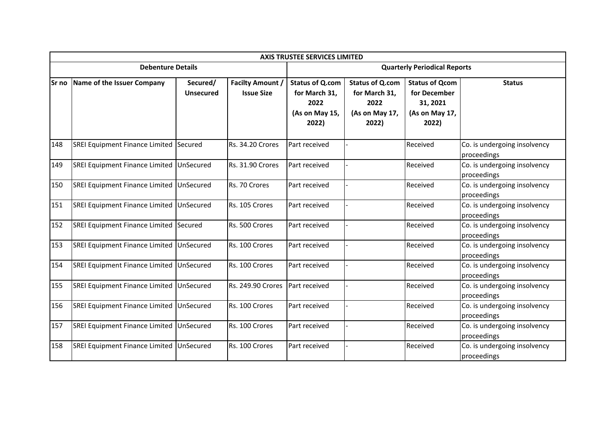|              | <b>AXIS TRUSTEE SERVICES LIMITED</b>     |                              |                                              |                                                                            |                                                                            |                                                                              |                                             |  |  |
|--------------|------------------------------------------|------------------------------|----------------------------------------------|----------------------------------------------------------------------------|----------------------------------------------------------------------------|------------------------------------------------------------------------------|---------------------------------------------|--|--|
|              | <b>Debenture Details</b>                 |                              | <b>Quarterly Periodical Reports</b>          |                                                                            |                                                                            |                                                                              |                                             |  |  |
| <b>Sr</b> no | Name of the Issuer Company               | Secured/<br><b>Unsecured</b> | <b>Facilty Amount /</b><br><b>Issue Size</b> | <b>Status of Q.com</b><br>for March 31,<br>2022<br>(As on May 15,<br>2022) | <b>Status of Q.com</b><br>for March 31,<br>2022<br>(As on May 17,<br>2022) | <b>Status of Qcom</b><br>for December<br>31, 2021<br>(As on May 17,<br>2022) | <b>Status</b>                               |  |  |
| 148          | SREI Equipment Finance Limited Secured   |                              | Rs. 34.20 Crores                             | Part received                                                              |                                                                            | Received                                                                     | Co. is undergoing insolvency<br>proceedings |  |  |
| 149          | SREI Equipment Finance Limited UnSecured |                              | <b>Rs. 31.90 Crores</b>                      | Part received                                                              |                                                                            | Received                                                                     | Co. is undergoing insolvency<br>proceedings |  |  |
| 150          | SREI Equipment Finance Limited UnSecured |                              | Rs. 70 Crores                                | Part received                                                              |                                                                            | Received                                                                     | Co. is undergoing insolvency<br>proceedings |  |  |
| 151          | SREI Equipment Finance Limited UnSecured |                              | Rs. 105 Crores                               | Part received                                                              |                                                                            | Received                                                                     | Co. is undergoing insolvency<br>proceedings |  |  |
| 152          | SREI Equipment Finance Limited Secured   |                              | Rs. 500 Crores                               | Part received                                                              |                                                                            | Received                                                                     | Co. is undergoing insolvency<br>proceedings |  |  |
| 153          | SREI Equipment Finance Limited UnSecured |                              | Rs. 100 Crores                               | Part received                                                              |                                                                            | Received                                                                     | Co. is undergoing insolvency<br>proceedings |  |  |
| 154          | SREI Equipment Finance Limited UnSecured |                              | Rs. 100 Crores                               | Part received                                                              |                                                                            | Received                                                                     | Co. is undergoing insolvency<br>proceedings |  |  |
| 155          | SREI Equipment Finance Limited UnSecured |                              | Rs. 249.90 Crores                            | Part received                                                              |                                                                            | Received                                                                     | Co. is undergoing insolvency<br>proceedings |  |  |
| 156          | SREI Equipment Finance Limited UnSecured |                              | Rs. 100 Crores                               | Part received                                                              |                                                                            | Received                                                                     | Co. is undergoing insolvency<br>proceedings |  |  |
| 157          | SREI Equipment Finance Limited UnSecured |                              | Rs. 100 Crores                               | Part received                                                              |                                                                            | Received                                                                     | Co. is undergoing insolvency<br>proceedings |  |  |
| 158          | SREI Equipment Finance Limited           | UnSecured                    | Rs. 100 Crores                               | Part received                                                              |                                                                            | Received                                                                     | Co. is undergoing insolvency<br>proceedings |  |  |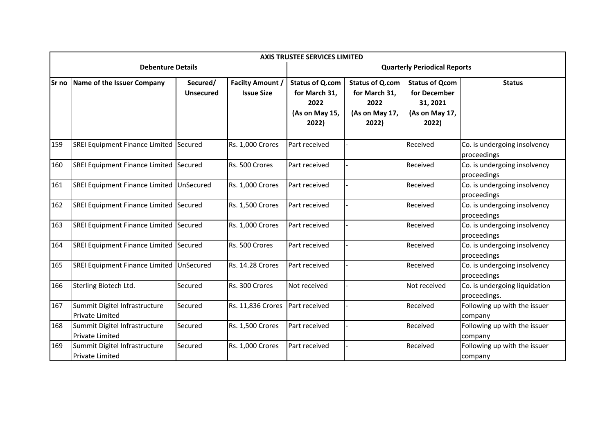|              | <b>AXIS TRUSTEE SERVICES LIMITED</b>                    |                              |                                              |                                                                            |                                                                            |                                                                              |                                               |  |  |
|--------------|---------------------------------------------------------|------------------------------|----------------------------------------------|----------------------------------------------------------------------------|----------------------------------------------------------------------------|------------------------------------------------------------------------------|-----------------------------------------------|--|--|
|              | <b>Debenture Details</b>                                |                              |                                              | <b>Quarterly Periodical Reports</b>                                        |                                                                            |                                                                              |                                               |  |  |
| <b>Sr</b> no | Name of the Issuer Company                              | Secured/<br><b>Unsecured</b> | <b>Facilty Amount /</b><br><b>Issue Size</b> | <b>Status of Q.com</b><br>for March 31,<br>2022<br>(As on May 15,<br>2022) | <b>Status of Q.com</b><br>for March 31,<br>2022<br>(As on May 17,<br>2022) | <b>Status of Qcom</b><br>for December<br>31, 2021<br>(As on May 17,<br>2022) | <b>Status</b>                                 |  |  |
| 159          | SREI Equipment Finance Limited Secured                  |                              | Rs. 1,000 Crores                             | Part received                                                              |                                                                            | Received                                                                     | Co. is undergoing insolvency<br>proceedings   |  |  |
| 160          | SREI Equipment Finance Limited Secured                  |                              | Rs. 500 Crores                               | Part received                                                              |                                                                            | Received                                                                     | Co. is undergoing insolvency<br>proceedings   |  |  |
| 161          | SREI Equipment Finance Limited                          | UnSecured                    | <b>Rs. 1,000 Crores</b>                      | Part received                                                              |                                                                            | Received                                                                     | Co. is undergoing insolvency<br>proceedings   |  |  |
| 162          | SREI Equipment Finance Limited Secured                  |                              | Rs. 1,500 Crores                             | Part received                                                              |                                                                            | Received                                                                     | Co. is undergoing insolvency<br>proceedings   |  |  |
| 163          | SREI Equipment Finance Limited Secured                  |                              | Rs. 1,000 Crores                             | Part received                                                              |                                                                            | Received                                                                     | Co. is undergoing insolvency<br>proceedings   |  |  |
| 164          | SREI Equipment Finance Limited Secured                  |                              | Rs. 500 Crores                               | Part received                                                              |                                                                            | Received                                                                     | Co. is undergoing insolvency<br>proceedings   |  |  |
| 165          | SREI Equipment Finance Limited UnSecured                |                              | Rs. 14.28 Crores                             | Part received                                                              |                                                                            | Received                                                                     | Co. is undergoing insolvency<br>proceedings   |  |  |
| 166          | Sterling Biotech Ltd.                                   | Secured                      | Rs. 300 Crores                               | Not received                                                               |                                                                            | Not received                                                                 | Co. is undergoing liquidation<br>proceedings. |  |  |
| 167          | Summit Digitel Infrastructure<br><b>Private Limited</b> | Secured                      | Rs. 11,836 Crores                            | Part received                                                              |                                                                            | Received                                                                     | Following up with the issuer<br>company       |  |  |
| 168          | Summit Digitel Infrastructure<br>Private Limited        | Secured                      | Rs. 1,500 Crores                             | Part received                                                              |                                                                            | Received                                                                     | Following up with the issuer<br>company       |  |  |
| 169          | Summit Digitel Infrastructure<br><b>Private Limited</b> | Secured                      | Rs. 1,000 Crores                             | Part received                                                              |                                                                            | Received                                                                     | Following up with the issuer<br>company       |  |  |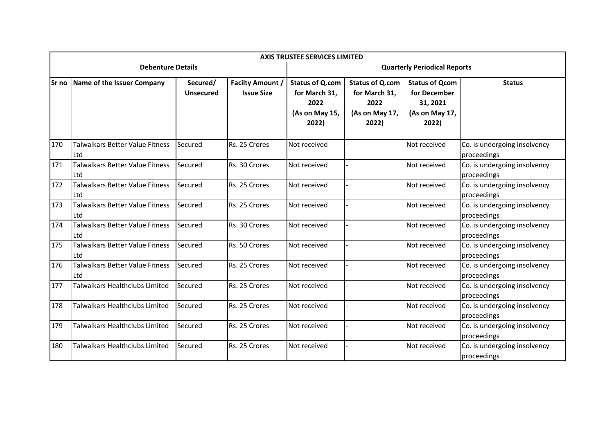|        | <b>AXIS TRUSTEE SERVICES LIMITED</b>          |                              |                                              |                                                                            |                                                                            |                                                                              |                                             |  |  |
|--------|-----------------------------------------------|------------------------------|----------------------------------------------|----------------------------------------------------------------------------|----------------------------------------------------------------------------|------------------------------------------------------------------------------|---------------------------------------------|--|--|
|        | <b>Debenture Details</b>                      |                              |                                              | <b>Quarterly Periodical Reports</b>                                        |                                                                            |                                                                              |                                             |  |  |
| lSr no | Name of the Issuer Company                    | Secured/<br><b>Unsecured</b> | <b>Facilty Amount /</b><br><b>Issue Size</b> | <b>Status of Q.com</b><br>for March 31,<br>2022<br>(As on May 15,<br>2022) | <b>Status of Q.com</b><br>for March 31,<br>2022<br>(As on May 17,<br>2022) | <b>Status of Qcom</b><br>for December<br>31, 2021<br>(As on May 17,<br>2022) | <b>Status</b>                               |  |  |
| 170    | <b>Talwalkars Better Value Fitness</b><br>Ltd | Secured                      | Rs. 25 Crores                                | Not received                                                               |                                                                            | Not received                                                                 | Co. is undergoing insolvency<br>proceedings |  |  |
| 171    | Talwalkars Better Value Fitness<br>Ltd        | Secured                      | Rs. 30 Crores                                | Not received                                                               |                                                                            | Not received                                                                 | Co. is undergoing insolvency<br>proceedings |  |  |
| 172    | <b>Talwalkars Better Value Fitness</b><br>Ltd | Secured                      | Rs. 25 Crores                                | Not received                                                               |                                                                            | Not received                                                                 | Co. is undergoing insolvency<br>proceedings |  |  |
| 173    | <b>Talwalkars Better Value Fitness</b><br>Ltd | Secured                      | Rs. 25 Crores                                | Not received                                                               |                                                                            | Not received                                                                 | Co. is undergoing insolvency<br>proceedings |  |  |
| 174    | <b>Talwalkars Better Value Fitness</b><br>Ltd | Secured                      | Rs. 30 Crores                                | Not received                                                               |                                                                            | Not received                                                                 | Co. is undergoing insolvency<br>proceedings |  |  |
| 175    | <b>Talwalkars Better Value Fitness</b><br>Ltd | Secured                      | Rs. 50 Crores                                | Not received                                                               |                                                                            | Not received                                                                 | Co. is undergoing insolvency<br>proceedings |  |  |
| 176    | Talwalkars Better Value Fitness<br>Ltd        | Secured                      | Rs. 25 Crores                                | Not received                                                               |                                                                            | Not received                                                                 | Co. is undergoing insolvency<br>proceedings |  |  |
| 177    | Talwalkars Healthclubs Limited                | Secured                      | Rs. 25 Crores                                | Not received                                                               |                                                                            | Not received                                                                 | Co. is undergoing insolvency<br>proceedings |  |  |
| 178    | Talwalkars Healthclubs Limited                | Secured                      | Rs. 25 Crores                                | Not received                                                               |                                                                            | Not received                                                                 | Co. is undergoing insolvency<br>proceedings |  |  |
| 179    | Talwalkars Healthclubs Limited                | Secured                      | Rs. 25 Crores                                | Not received                                                               |                                                                            | Not received                                                                 | Co. is undergoing insolvency<br>proceedings |  |  |
| 180    | Talwalkars Healthclubs Limited                | Secured                      | Rs. 25 Crores                                | Not received                                                               |                                                                            | Not received                                                                 | Co. is undergoing insolvency<br>proceedings |  |  |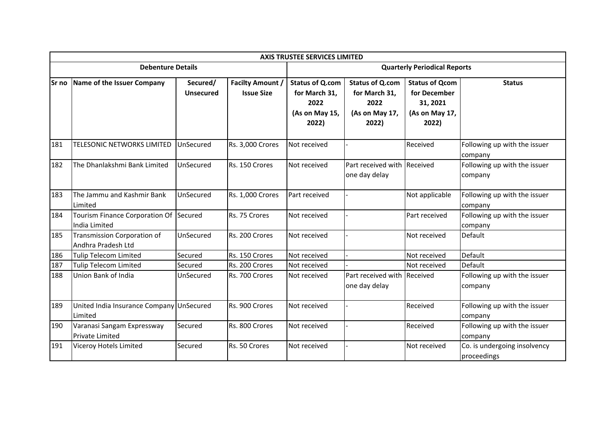|              | <b>AXIS TRUSTEE SERVICES LIMITED</b>                    |                              |                                              |                                                                            |                                                                            |                                                                              |                                             |  |  |
|--------------|---------------------------------------------------------|------------------------------|----------------------------------------------|----------------------------------------------------------------------------|----------------------------------------------------------------------------|------------------------------------------------------------------------------|---------------------------------------------|--|--|
|              | <b>Debenture Details</b>                                |                              |                                              | <b>Quarterly Periodical Reports</b>                                        |                                                                            |                                                                              |                                             |  |  |
| <b>Sr</b> no | Name of the Issuer Company                              | Secured/<br><b>Unsecured</b> | <b>Facilty Amount /</b><br><b>Issue Size</b> | <b>Status of Q.com</b><br>for March 31,<br>2022<br>(As on May 15,<br>2022) | <b>Status of Q.com</b><br>for March 31,<br>2022<br>(As on May 17,<br>2022) | <b>Status of Qcom</b><br>for December<br>31, 2021<br>(As on May 17,<br>2022) | <b>Status</b>                               |  |  |
| 181          | TELESONIC NETWORKS LIMITED                              | UnSecured                    | Rs. 3,000 Crores                             | Not received                                                               |                                                                            | Received                                                                     | Following up with the issuer<br>company     |  |  |
| 182          | The Dhanlakshmi Bank Limited                            | UnSecured                    | Rs. 150 Crores                               | Not received                                                               | Part received with Received<br>one day delay                               |                                                                              | Following up with the issuer<br>company     |  |  |
| 183          | The Jammu and Kashmir Bank<br>Limited                   | UnSecured                    | Rs. 1,000 Crores                             | Part received                                                              |                                                                            | Not applicable                                                               | Following up with the issuer<br>company     |  |  |
| 184          | Tourism Finance Corporation Of Secured<br>India Limited |                              | Rs. 75 Crores                                | Not received                                                               |                                                                            | Part received                                                                | Following up with the issuer<br>company     |  |  |
| 185          | Transmission Corporation of<br>Andhra Pradesh Ltd       | UnSecured                    | Rs. 200 Crores                               | Not received                                                               |                                                                            | Not received                                                                 | Default                                     |  |  |
| 186          | <b>Tulip Telecom Limited</b>                            | Secured                      | Rs. 150 Crores                               | Not received                                                               |                                                                            | Not received                                                                 | Default                                     |  |  |
| 187          | <b>Tulip Telecom Limited</b>                            | Secured                      | Rs. 200 Crores                               | Not received                                                               |                                                                            | Not received                                                                 | Default                                     |  |  |
| 188          | Union Bank of India                                     | UnSecured                    | Rs. 700 Crores                               | Not received                                                               | Part received with<br>one day delay                                        | Received                                                                     | Following up with the issuer<br>company     |  |  |
| 189          | United India Insurance Company UnSecured<br>Limited     |                              | Rs. 900 Crores                               | Not received                                                               |                                                                            | Received                                                                     | Following up with the issuer<br>company     |  |  |
| 190          | Varanasi Sangam Expressway<br><b>Private Limited</b>    | Secured                      | Rs. 800 Crores                               | Not received                                                               |                                                                            | Received                                                                     | Following up with the issuer<br>company     |  |  |
| 191          | Viceroy Hotels Limited                                  | Secured                      | Rs. 50 Crores                                | Not received                                                               |                                                                            | Not received                                                                 | Co. is undergoing insolvency<br>proceedings |  |  |